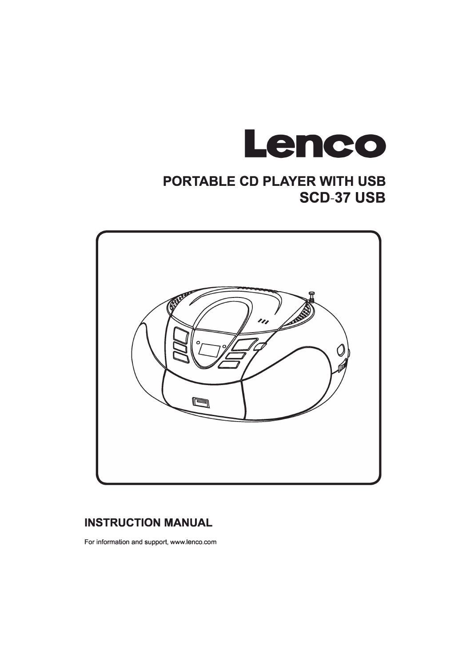

# **PORTABLE CD PLAYER WITH USB SCD-37 USB**



## **INSTRUCTION MANUAL**

For information and support, www.lenco.com